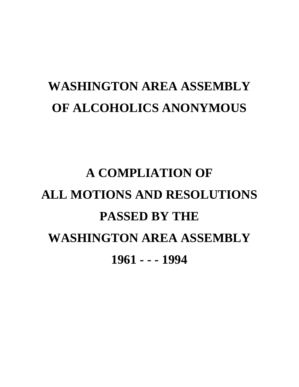# **WASHINGTON AREA ASSEMBLY OF ALCOHOLICS ANONYMOUS**

# **A COMPLIATION OF ALL MOTIONS AND RESOLUTIONS PASSED BY THE WASHINGTON AREA ASSEMBLY 1961 - - - 1994**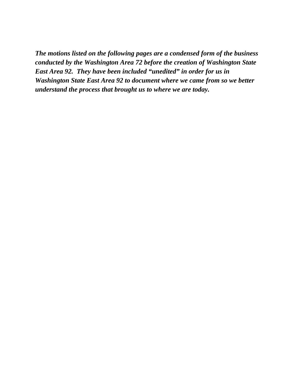*The motions listed on the following pages are a condensed form of the business conducted by the Washington Area 72 before the creation of Washington State East Area 92. They have been included "unedited" in order for us in Washington State East Area 92 to document where we came from so we better understand the process that brought us to where we are today.*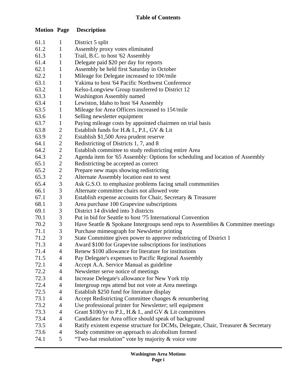| <b>Motion Page</b> |                | <b>Description</b>                                                                              |  |
|--------------------|----------------|-------------------------------------------------------------------------------------------------|--|
| 61.1               | 1              | District 5 split                                                                                |  |
| 61.2               | $\mathbf{1}$   | Assembly proxy votes eliminated                                                                 |  |
| 61.3               | $\mathbf{1}$   | Trail, B.C. to host '62 Assembly                                                                |  |
| 61.4               | $\mathbf{1}$   | Delegate paid \$20 per day for reports                                                          |  |
| 62.1               | $\mathbf{1}$   | Assembly be held first Saturday in October                                                      |  |
| 62.2               | $\mathbf{1}$   | Mileage for Delegate increased to $10¢$ /mile                                                   |  |
| 63.1               | $\mathbf{1}$   | Yakima to host '64 Pacific Northwest Conference                                                 |  |
| 63.2               | $\mathbf{1}$   | Kelso-Longview Group transferred to District 12                                                 |  |
| 63.3               | $\mathbf{1}$   | <b>Washington Assembly named</b>                                                                |  |
| 63.4               | $\mathbf{1}$   | Lewiston, Idaho to host '64 Assembly                                                            |  |
| 63.5               | $\mathbf{1}$   | Mileage for Area Officers increased to $15¢$ /mile                                              |  |
| 63.6               | $\mathbf{1}$   | Selling newsletter equipment                                                                    |  |
| 63.7               | $\mathbf{1}$   | Paying mileage costs by appointed chairmen on trial basis                                       |  |
| 63.8               | $\mathbf{2}$   | Establish funds for H.& I., P.I., GV & Lit                                                      |  |
| 63.9               | $\sqrt{2}$     | Establish \$1,500 Area prudent reserve                                                          |  |
| 64.1               | $\mathbf{2}$   | Redistricting of Districts 1, 7, and 8                                                          |  |
| 64.2               | $\mathbf{2}$   | Establish committee to study redistricting entire Area                                          |  |
| 64.3               | $\sqrt{2}$     | Agenda item for '65 Assembly: Options for scheduling and location of Assembly                   |  |
| 65.1               | $\sqrt{2}$     | Redistricting be accepted as correct                                                            |  |
| 65.2               | $\sqrt{2}$     | Prepare new maps showing redistricting                                                          |  |
| 65.3               | $\sqrt{2}$     | Alternate Assembly location east to west                                                        |  |
| 65.4               | $\mathfrak 3$  | Ask G.S.O. to emphasize problems facing small communities                                       |  |
| 66.1               | $\mathfrak{Z}$ | Alternate committee chairs not allowed vote                                                     |  |
| 67.1               | $\overline{3}$ | Establish expense accounts for Chair, Secretary & Treasurer                                     |  |
| 68.1               | $\mathfrak{Z}$ | Area purchase 100 Grapevine subscriptions                                                       |  |
| 69.1               | $\mathfrak{Z}$ | District 14 divided into 3 districts                                                            |  |
| 70.1               | $\mathfrak{Z}$ | Put in bid for Seattle to host '75 International Convention                                     |  |
| 70.2               | $\sqrt{3}$     | Have Seattle & Spokane Intergroups send reps to Assemblies & Committee meetings                 |  |
| 71.1               | 3<br>3         | Purchase mimeograph for Newsletter printing                                                     |  |
| 71.2               | $\overline{4}$ | State Committee given power to approve redistricting of District 1                              |  |
| 71.3               |                | Award \$100 for Grapevine subscriptions for institutions                                        |  |
| 71.4<br>71.5       | 4              | Renew \$100 allowance for literature for institutions                                           |  |
| 72.1               | 4<br>4         | Pay Delegate's expenses to Pacific Regional Assembly<br>Accept A.A. Service Manual as guideline |  |
| 72.2               | $\overline{4}$ | Newsletter serve notice of meetings                                                             |  |
| 72.3               | $\overline{4}$ | Increase Delegate's allowance for New York trip                                                 |  |
| 72.4               | 4              | Intergroup reps attend but not vote at Area meetings                                            |  |
| 72.5               | 4              | Establish \$250 fund for literature display                                                     |  |
| 73.1               | $\overline{4}$ | Accept Redistricting Committee changes & renumbering                                            |  |
| 73.2               | 4              | Use professional printer for Newsletter; sell equipment                                         |  |
| 73.3               | 4              | Grant \$100/yr to P.I., H.& I., and GV & Lit committees                                         |  |
| 73.4               | $\overline{4}$ | Candidates for Area office should speak of background                                           |  |
| 73.5               | $\overline{4}$ | Ratify existent expense structure for DCMs, Delegate, Chair, Treasurer & Secretary              |  |
| 73.6               | 4              | Study committee on approach to alcoholism formed                                                |  |
| 74.1               | 5              | "Two-hat resolution" vote by majority & voice vote                                              |  |
|                    |                |                                                                                                 |  |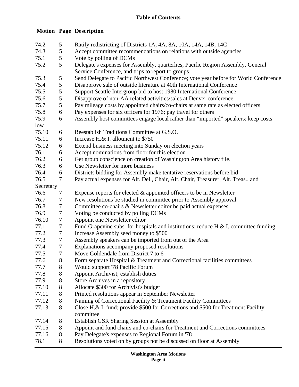## **Table of Contents**

## **Motion Page Description**

| 74.2      | 5                | Ratify redistricting of Districts 1A, 4A, 8A, 10A, 14A, 14B, 14C                     |  |
|-----------|------------------|--------------------------------------------------------------------------------------|--|
| 74.3      | 5                | Accept committee recommendations on relations with outside agencies                  |  |
| 75.1      | 5                | Vote by polling of DCMs                                                              |  |
| 75.2      | 5                | Delegate's expenses for Assembly, quarterlies, Pacific Region Assembly, General      |  |
|           |                  | Service Conference, and trips to report to groups                                    |  |
| 75.3      | 5                | Send Delegate to Pacific Northwest Conference; vote year before for World Conference |  |
| 75.4      | 5                | Disapprove sale of outside literature at 40th International Conference               |  |
| 75.5      | 5                | Support Seattle Intergroup bid to host 1980 International Conference                 |  |
| 75.6      | 5                | Disapprove of non-AA related activities/sales at Denver conference                   |  |
| 75.7      | 5                | Pay mileage costs by appointed chairs/co-chairs at same rate as elected officers     |  |
| 75.8      | 6                | Pay expenses for six officers for 1976; pay travel for others                        |  |
| 75.9      | 6                | Assembly host committees engage local rather than "imported" speakers; keep costs    |  |
| low       |                  |                                                                                      |  |
| 75.10     | 6                | Reestablish Traditions Committee at G.S.O.                                           |  |
| 75.11     | 6                | Increase H.& I. allotment to \$750                                                   |  |
| 75.12     | 6                | Extend business meeting into Sunday on election years                                |  |
| 76.1      | 6                | Accept nominations from floor for this election                                      |  |
| 76.2      | 6                | Get group conscience on creation of Washington Area history file.                    |  |
| 76.3      | 6                | Use Newsletter for more business                                                     |  |
| 76.4      | 6                | Districts bidding for Assembly make tentative reservations before bid                |  |
| 76.5      | $\overline{7}$   | Pay actual expenses for Alt. Del., Chair, Alt. Chair, Treasurer, Alt. Treas., and    |  |
| Secretary |                  |                                                                                      |  |
| 76.6      | 7                | Expense reports for elected $\&$ appointed officers to be in Newsletter              |  |
| 76.7      | 7                | New resolutions be studied in committee prior to Assembly approval                   |  |
| 76.8      | $\boldsymbol{7}$ | Committee co-chairs & Newsletter editor be paid actual expenses                      |  |
| 76.9      | $\tau$           | Voting be conducted by polling DCMs                                                  |  |
| 76.10     | $\boldsymbol{7}$ | Appoint one Newsletter editor                                                        |  |
| 77.1      | $\boldsymbol{7}$ | Fund Grapevine subs. for hospitals and institutions; reduce H.& I. committee funding |  |
| 77.2      | $\tau$           | Increase Assembly seed money to \$500                                                |  |
| 77.3      | $\tau$           | Assembly speakers can be imported from out of the Area                               |  |
| 77.4      | $\boldsymbol{7}$ | Explanations accompany proposed resolutions                                          |  |
| 77.5      | $\tau$           | Move Goldendale from District 7 to 6                                                 |  |
| 77.6      | $8\,$            | Form separate Hospital & Treatment and Correctional facilities committees            |  |
| 77.7      | 8                | Would support '78 Pacific Forum                                                      |  |
| 77.8      | $8\,$            | Appoint Archivist; establish duties                                                  |  |
| 77.9      | 8                | Store Archives in a repository                                                       |  |
| 77.10     | 8                | Allocate \$300 for Archivist's budget                                                |  |
| 77.11     | 8                | Printed resolutions appear in September Newsletter                                   |  |
| 77.12     | 8                | Naming of Correctional Facility & Treatment Facility Committees                      |  |
| 77.13     | 8                | Close H.& I. fund; provide \$500 for Corrections and \$500 for Treatment Facility    |  |
|           |                  | committee                                                                            |  |
| 77.14     | 8                | <b>Establish GSR Sharing Session at Assembly</b>                                     |  |
| 77.15     | 8                | Appoint and fund chairs and co-chairs for Treatment and Corrections committees       |  |
| 77.16     | 8                | Pay Delegate's expenses to Regional Forum in '78                                     |  |
| 78.1      | 8                | Resolutions voted on by groups not be discussed on floor at Assembly                 |  |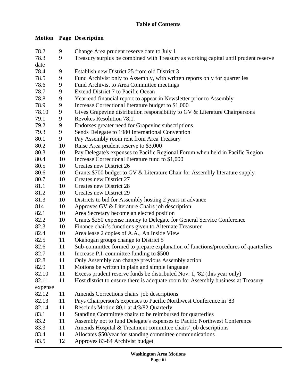## **Table of Contents**

## **Motion Page Description**

| 78.2    | 9  | Change Area prudent reserve date to July 1                                          |  |
|---------|----|-------------------------------------------------------------------------------------|--|
| 78.3    | 9  | Treasury surplus be combined with Treasury as working capital until prudent reserve |  |
| date    |    |                                                                                     |  |
| 78.4    | 9  | Establish new District 25 from old District 3                                       |  |
| 78.5    | 9  | Fund Archivist only to Assembly, with written reports only for quarterlies          |  |
| 78.6    | 9  | Fund Archivist to Area Committee meetings                                           |  |
| 78.7    | 9  | Extend District 7 to Pacific Ocean                                                  |  |
| 78.8    | 9  | Year-end financial report to appear in Newsletter prior to Assembly                 |  |
| 78.9    | 9  | Increase Correctional literature budget to \$1,000                                  |  |
| 78.10   | 9  | Gives Grapevine distribution responsibility to GV & Literature Chairpersons         |  |
| 79.1    | 9  | Revokes Resolution 78.1.                                                            |  |
| 79.2    | 9  | Endorses greater need for Grapevine subscriptions                                   |  |
| 79.3    | 9  | Sends Delegate to 1980 International Convention                                     |  |
| 80.1    | 9  | Pay Assembly room rent from Area Treasury                                           |  |
| 80.2    | 10 | Raise Area prudent reserve to \$3,000                                               |  |
| 80.3    | 10 | Pay Delegate's expenses to Pacific Regional Forum when held in Pacific Region       |  |
| 80.4    | 10 | Increase Correctional literature fund to \$1,000                                    |  |
| 80.5    | 10 | Creates new District 26                                                             |  |
| 80.6    | 10 | Grants \$700 budget to GV & Literature Chair for Assembly literature supply         |  |
| 80.7    | 10 | Creates new District 27                                                             |  |
| 81.1    | 10 | Creates new District 28                                                             |  |
| 81.2    | 10 | Creates new District 29                                                             |  |
| 81.3    | 10 | Districts to bid for Assembly hosting 2 years in advance                            |  |
| 814     | 10 | Approves GV & Literature Chairs job description                                     |  |
| 82.1    | 10 | Area Secretary become an elected position                                           |  |
| 82.2    | 10 | Grants \$250 expense money to Delegate for General Service Conference               |  |
| 82.3    | 10 | Finance chair's functions given to Alternate Treasurer                              |  |
| 82.4    | 10 | Area lease 2 copies of A.A., An Inside View                                         |  |
| 82.5    | 11 | Okanogan groups change to District 5                                                |  |
| 82.6    | 11 | Sub-committee formed to prepare explanation of functions/procedures of quarterlies  |  |
| 82.7    | 11 | Increase P.I. committee funding to \$500                                            |  |
| 82.8    | 11 | Only Assembly can change previous Assembly action                                   |  |
| 82.9    | 11 | Motions be written in plain and simple language                                     |  |
| 82.10   | 11 | Excess prudent reserve funds be distributed Nov. 1, '82 (this year only)            |  |
| 82.11   | 11 | Host district to ensure there is adequate room for Assembly business at Treasury    |  |
| expense |    |                                                                                     |  |
| 82.12   | 11 | Amends Corrections chairs' job descriptions                                         |  |
| 82.13   | 11 | Pays Chairperson's expenses to Pacific Northwest Conference in '83                  |  |
| 82.14   | 11 | Rescinds Motion 80.1 at 4/3/82 Quarterly                                            |  |
| 83.1    | 11 | Standing Committee chairs to be reimbursed for quarterlies                          |  |
| 83.2    | 11 | Assembly not to fund Delegate's expenses to Pacific Northwest Conference            |  |
| 83.3    | 11 | Amends Hospital & Treatment committee chairs' job descriptions                      |  |
| 83.4    | 11 | Allocates \$50/year for standing committee communications                           |  |
| 83.5    | 12 | Approves 83-84 Archivist budget                                                     |  |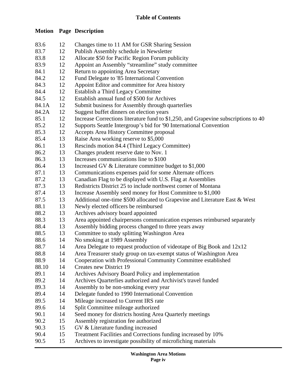## **Motion Page Description**

| 83.6  | 12 | Changes time to 11 AM for GSR Sharing Session                                      |
|-------|----|------------------------------------------------------------------------------------|
| 83.7  | 12 | Publish Assembly schedule in Newsletter                                            |
| 83.8  | 12 | Allocate \$50 for Pacific Region Forum publicity                                   |
| 83.9  | 12 | Appoint an Assembly "streamline" study committee                                   |
| 84.1  | 12 | Return to appointing Area Secretary                                                |
| 84.2  | 12 | Fund Delegate to '85 International Convention                                      |
| 84.3  | 12 | Appoint Editor and committee for Area history                                      |
| 84.4  | 12 | Establish a Third Legacy Committee                                                 |
| 84.5  | 12 | Establish annual fund of \$500 for Archives                                        |
| 84.1A | 12 | Submit business for Assembly through quarterlies                                   |
| 84.2A | 12 | Suggest buffet dinners on election years                                           |
| 85.1  | 12 | Increase Corrections literature fund to \$1,250, and Grapevine subscriptions to 40 |
| 85.2  | 12 | Supports Seattle Intergroup's bid for '90 International Convention                 |
| 85.3  | 12 | Accepts Area History Committee proposal                                            |
| 85.4  | 13 | Raise Area working reserve to \$5,000                                              |
| 86.1  | 13 | Rescinds motion 84.4 (Third Legacy Committee)                                      |
| 86.2  | 13 | Changes prudent reserve date to Nov. 1                                             |
| 86.3  | 13 | Increases communications line to \$100                                             |
| 86.4  | 13 | Increased GV & Literature committee budget to \$1,000                              |
| 87.1  | 13 | Communications expenses paid for some Alternate officers                           |
| 87.2  | 13 | Canadian Flag to be displayed with U.S. Flag at Assemblies                         |
| 87.3  | 13 | Redistricts District 25 to include northwest corner of Montana                     |
| 87.4  | 13 | Increase Assembly seed money for Host Committee to \$1,000                         |
| 87.5  | 13 | Additional one-time \$500 allocated to Grapevine and Literature East & West        |
| 88.1  | 13 | Newly elected officers be reimbursed                                               |
| 88.2  | 13 | Archives advisory board appointed                                                  |
| 88.3  | 13 | Area appointed chairpersons communication expenses reimbursed separately           |
| 88.4  | 13 | Assembly bidding process changed to three years away                               |
| 88.5  | 13 | Committee to study splitting Washington Area                                       |
| 88.6  | 14 | No smoking at 1989 Assembly                                                        |
| 88.7  | 14 | Area Delegate to request production of videotape of Big Book and 12x12             |
| 88.8  | 14 | Area Treasurer study group on tax-exempt status of Washington Area                 |
| 88.9  | 14 | Cooperation with Professional Community Committee established                      |
| 88.10 | 14 | Creates new District 19                                                            |
| 89.1  | 14 | Archives Advisory Board Policy and implementation                                  |
| 89.2  | 14 | Archives Quarterlies authorized and Archivist's travel funded                      |
| 89.3  | 14 | Assembly to be non-smoking every year                                              |
| 89.4  | 14 | Delegate funded to 1990 International Convention                                   |
| 89.5  | 14 | Mileage increased to Current IRS rate                                              |
| 89.6  | 14 | Split Committee mileage authorized                                                 |
| 90.1  | 14 | Seed money for districts hosting Area Quarterly meetings                           |
| 90.2  | 15 | Assembly registration fee authorized                                               |
| 90.3  | 15 | GV & Literature funding increased                                                  |
| 90.4  | 15 | Treatment Facilities and Corrections funding increased by 10%                      |
| 90.5  | 15 | Archives to investigate possibility of microfiching materials                      |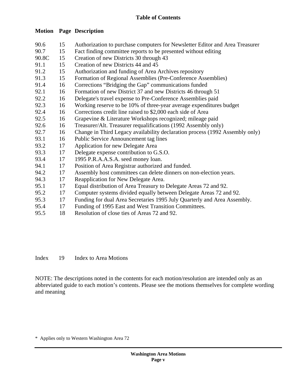## **Motion Page Description**

| 90.6               | 15  | Authorization to purchase computers for Newsletter Editor and Area Treasurer |
|--------------------|-----|------------------------------------------------------------------------------|
| 90.7               | 15  | Fact finding committee reports to be presented without editing               |
| 90.8C              | 15  | Creation of new Districts 30 through 43                                      |
| 91.1               | 15  | Creation of new Districts 44 and 45                                          |
| 91.2               | 15  | Authorization and funding of Area Archives repository                        |
| 91.3               | 15  | Formation of Regional Assemblies (Pre-Conference Assemblies)                 |
| 91.4               | 16  | Corrections "Bridging the Gap" communications funded                         |
| 92.1               | 16  | Formation of new District 37 and new Districts 46 through 51                 |
| 92.2               | 16  | Delegate's travel expense to Pre-Conference Assemblies paid                  |
| 92.3               | 16  | Working reserve to be 10% of three-year average expenditures budget          |
| 92.4               | 16  | Corrections credit line raised to \$2,000 each side of Area                  |
| 92.5               | 16  | Grapevine & Literature Workshops recognized; mileage paid                    |
| 92.6               | 16  | Treasurer/Alt. Treasurer requalifications (1992 Assembly only)               |
| 92.7               | 16  | Change in Third Legacy availability declaration process (1992 Assembly only) |
| 93.1               | 16  | Public Service Announcement tag lines                                        |
| 93.2               | 17  | Application for new Delegate Area                                            |
| 93.3               | 17  | Delegate expense contribution to G.S.O.                                      |
| 93.4               | 17  | 1995 P.R.A.A.S.A. seed money loan.                                           |
| 94.1               | 17  | Position of Area Registrar authorized and funded.                            |
| 94.2               | 17  | Assembly host committees can delete dinners on non-election years.           |
| 94.3               | 17  | Reapplication for New Delegate Area.                                         |
| 95.1               | 17  | Equal distribution of Area Treasury to Delegate Areas 72 and 92.             |
| 95.2               | 17  | Computer systems divided equally between Delegate Areas 72 and 92.           |
| 95.3               | 17  | Funding for dual Area Secretaries 1995 July Quarterly and Area Assembly.     |
| 95.4               | 17  | Funding of 1995 East and West Transition Committees.                         |
| $\cap$ $\in$ $\in$ | 1 O | $D_{\text{ex}}$ between of close time of American $72$ and $02$              |

95.5 18 Resolution of close ties of Areas 72 and 92.

Index 19 Index to Area Motions

NOTE: The descriptions noted in the contents for each motion/resolution are intended only as an abbreviated guide to each motion's contents. Please see the motions themselves for complete wording and meaning

\* Applies only to Western Washington Area 72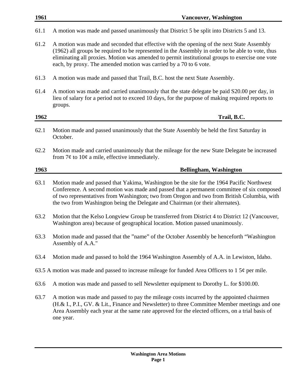| 1961 | <b>Vancouver, Washington</b>                                                                                                                                                                                                                                                                                                                                             |  |
|------|--------------------------------------------------------------------------------------------------------------------------------------------------------------------------------------------------------------------------------------------------------------------------------------------------------------------------------------------------------------------------|--|
| 61.1 | A motion was made and passed unanimously that District 5 be split into Districts 5 and 13.                                                                                                                                                                                                                                                                               |  |
| 61.2 | A motion was made and seconded that effective with the opening of the next State Assembly<br>(1962) all groups be required to be represented in the Assembly in order to be able to vote, thus<br>eliminating all proxies. Motion was amended to permit institutional groups to exercise one vote<br>each, by proxy. The amended motion was carried by a 70 to 6 vote.   |  |
| 61.3 | A motion was made and passed that Trail, B.C. host the next State Assembly.                                                                                                                                                                                                                                                                                              |  |
| 61.4 | A motion was made and carried unanimously that the state delegate be paid S20.00 per day, in<br>lieu of salary for a period not to exceed 10 days, for the purpose of making required reports to<br>groups.                                                                                                                                                              |  |
| 1962 | Trail, B.C.                                                                                                                                                                                                                                                                                                                                                              |  |
| 62.1 | Motion made and passed unanimously that the State Assembly be held the first Saturday in<br>October.                                                                                                                                                                                                                                                                     |  |
| 62.2 | Motion made and carried unanimously that the mileage for the new State Delegate be increased<br>from $7¢$ to $10¢$ a mile, effective immediately.                                                                                                                                                                                                                        |  |
| 1963 | <b>Bellingham, Washington</b>                                                                                                                                                                                                                                                                                                                                            |  |
| 63.1 | Motion made and passed that Yakima, Washington be the site for the 1964 Pacific Northwest<br>Conference. A second motion was made and passed that a permanent committee of six composed<br>of two representatives from Washington; two from Oregon and two from British Columbia, with<br>the two from Washington being the Delegate and Chairman (or their alternates). |  |
| 63.2 | Motion that the Kelso Longview Group be transferred from District 4 to District 12 (Vancouver,<br>Washington area) because of geographical location. Motion passed unanimously.                                                                                                                                                                                          |  |
| 63.3 | Motion made and passed that the "name" of the October Assembly be henceforth "Washington"<br>Assembly of A.A."                                                                                                                                                                                                                                                           |  |
| 63.4 | Motion made and passed to hold the 1964 Washington Assembly of A.A. in Lewiston, Idaho.                                                                                                                                                                                                                                                                                  |  |
|      | 63.5 A motion was made and passed to increase mileage for funded Area Officers to 1 $5¢$ per mile.                                                                                                                                                                                                                                                                       |  |
| 63.6 | A motion was made and passed to sell Newsletter equipment to Dorothy L. for \$100.00.                                                                                                                                                                                                                                                                                    |  |
| 63.7 | A motion was made and passed to pay the mileage costs incurred by the appointed chairmen<br>(H.& I., P.I., GV. & Lit., Finance and Newsletter) to three Committee Member meetings and one<br>Area Assembly each year at the same rate approved for the elected officers, on a trial basis of<br>one year.                                                                |  |
|      |                                                                                                                                                                                                                                                                                                                                                                          |  |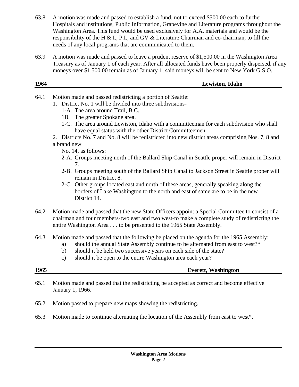- 63.8 A motion was made and passed to establish a fund, not to exceed \$500.00 each to further Hospitals and institutions, Public Information, Grapevine and Literature programs throughout the Washington Area. This fund would be used exclusively for A.A. materials and would be the responsibility of the H.& I., P.I., and GV & Literature Chairman and co-chairman, to fill the needs of any local programs that are communicated to them.
- 63.9 A motion was made and passed to leave a prudent reserve of \$1,500.00 in the Washington Area Treasury as of January 1 of each year. After all allocated funds have been properly dispersed, if any moneys over \$1,500.00 remain as of January 1, said moneys will be sent to New York G.S.O.

| 1964 | Lewiston, Idaho |
|------|-----------------|
|      |                 |

- 64.1 Motion made and passed redistricting a portion of Seattle:
	- 1. District No. 1 will be divided into three subdivisions-
		- 1-A. The area around Trail, B.C.
		- 1B. The greater Spokane area.
		- 1-C. The area around Lewiston, Idaho with a committeeman for each subdivision who shall have equal status with the other District Committeemen.
	- 2. Districts No. 7 and No. 8 will be redistricted into new district areas comprising Nos. 7, 8 and a brand new
		- No. 14, as follows:
		- 2-A. Groups meeting north of the Ballard Ship Canal in Seattle proper will remain in District 7.
		- 2-B. Groups meeting south of the Ballard Ship Canal to Jackson Street in Seattle proper will remain in District 8.
		- 2-C. Other groups located east and north of these areas, generally speaking along the borders of Lake Washington to the north and east of same are to be in the new District 14.
- 64.2 Motion made and passed that the new State Officers appoint a Special Committee to consist of a chairman and four members-two east and two west-to make a complete study of redistricting the entire Washington Area . . . to be presented to the 1965 State Assembly.
- 64.3 Motion made and passed that the following be placed on the agenda for the 1965 Assembly:
	- a) should the annual State Assembly continue to be alternated from east to west?\*
	- b) should it be held two successive years on each side of the state?
	- c) should it be open to the entire Washington area each year?

## **1965 Everett, Washington**

- 65.1 Motion made and passed that the redistricting be accepted as correct and become effective January 1, 1966.
- 65.2 Motion passed to prepare new maps showing the redistricting.
- 65.3 Motion made to continue alternating the location of the Assembly from east to west\*.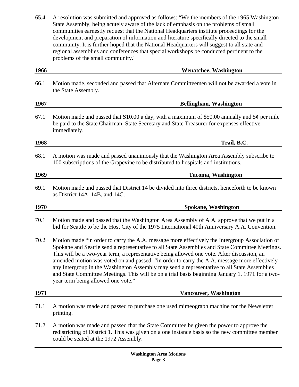65.4 A resolution was submitted and approved as follows: "We the members of the 1965 Washington State Assembly, being acutely aware of the lack of emphasis on the problems of small communities earnestly request that the National Headquarters institute proceedings for the development and preparation of information and literature specifically directed to the small community. It is further hoped that the National Headquarters will suggest to all state and regional assemblies and conferences that special workshops be conducted pertinent to the problems of the small community."

| 1966 | <b>Wenatchee, Washington</b>                                                                                                                                                                                                                                                                                                                                                                                                                                                                                                                                                                                                              |  |
|------|-------------------------------------------------------------------------------------------------------------------------------------------------------------------------------------------------------------------------------------------------------------------------------------------------------------------------------------------------------------------------------------------------------------------------------------------------------------------------------------------------------------------------------------------------------------------------------------------------------------------------------------------|--|
| 66.1 | Motion made, seconded and passed that Alternate Committeemen will not be awarded a vote in<br>the State Assembly.                                                                                                                                                                                                                                                                                                                                                                                                                                                                                                                         |  |
| 1967 | <b>Bellingham, Washington</b>                                                                                                                                                                                                                                                                                                                                                                                                                                                                                                                                                                                                             |  |
| 67.1 | Motion made and passed that S10.00 a day, with a maximum of \$50.00 annually and $5¢$ per mile<br>be paid to the State Chairman, State Secretary and State Treasurer for expenses effective<br>immediately.                                                                                                                                                                                                                                                                                                                                                                                                                               |  |
| 1968 | Trail, B.C.                                                                                                                                                                                                                                                                                                                                                                                                                                                                                                                                                                                                                               |  |
| 68.1 | A motion was made and passed unanimously that the Washington Area Assembly subscribe to<br>100 subscriptions of the Grapevine to be distributed to hospitals and institutions.                                                                                                                                                                                                                                                                                                                                                                                                                                                            |  |
| 1969 | <b>Tacoma, Washington</b>                                                                                                                                                                                                                                                                                                                                                                                                                                                                                                                                                                                                                 |  |
| 69.1 | Motion made and passed that District 14 be divided into three districts, henceforth to be known<br>as District 14A, 14B, and 14C.                                                                                                                                                                                                                                                                                                                                                                                                                                                                                                         |  |
| 1970 | <b>Spokane, Washington</b>                                                                                                                                                                                                                                                                                                                                                                                                                                                                                                                                                                                                                |  |
| 70.1 | Motion made and passed that the Washington Area Assembly of A A. approve that we put in a<br>bid for Seattle to be the Host City of the 1975 International 40th Anniversary A.A. Convention.                                                                                                                                                                                                                                                                                                                                                                                                                                              |  |
| 70.2 | Motion made "in order to carry the A.A. message more effectively the Intergroup Association of<br>Spokane and Seattle send a representative to all State Assemblies and State Committee Meetings.<br>This will be a two-year term, a representative being allowed one vote. After discussion, an<br>amended motion was voted on and passed: "in order to carry the A.A. message more effectively<br>any Intergroup in the Washington Assembly may send a representative to all State Assemblies<br>and State Committee Meetings. This will be on a trial basis beginning January 1, 1971 for a two-<br>year term being allowed one vote." |  |
| 1971 | <b>Vancouver, Washington</b>                                                                                                                                                                                                                                                                                                                                                                                                                                                                                                                                                                                                              |  |
| 71.1 | A motion was made and passed to purchase one used mimeograph machine for the Newsletter<br>printing.                                                                                                                                                                                                                                                                                                                                                                                                                                                                                                                                      |  |
| 71.2 | A motion was made and passed that the State Committee be given the power to approve the<br>redistricting of District 1. This was given on a one instance basis so the new committee member<br>could be seated at the 1972 Assembly.                                                                                                                                                                                                                                                                                                                                                                                                       |  |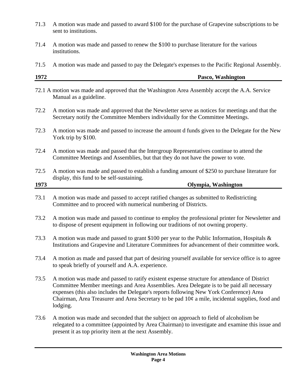- 71.3 A motion was made and passed to award \$100 for the purchase of Grapevine subscriptions to be sent to institutions.
- 71.4 A motion was made and passed to renew the \$100 to purchase literature for the various institutions.
- 71.5 A motion was made and passed to pay the Delegate's expenses to the Pacific Regional Assembly.

| 1972 | Washington<br>Pasco, |
|------|----------------------|
|      |                      |

- 72.1 A motion was made and approved that the Washington Area Assembly accept the A.A. Service Manual as a guideline.
- 72.2 A motion was made and approved that the Newsletter serve as notices for meetings and that the Secretary notify the Committee Members individually for the Committee Meetings.
- 72.3 A motion was made and passed to increase the amount d funds given to the Delegate for the New York trip by \$100.
- 72.4 A motion was made and passed that the Intergroup Representatives continue to attend the Committee Meetings and Assemblies, but that they do not have the power to vote.
- 72.5 A motion was made and passed to establish a funding amount of \$250 to purchase literature for display, this fund to be self-sustaining.

| 1973 | Olympia, Washington |
|------|---------------------|
|      |                     |

- 73.1 A motion was made and passed to accept ratified changes as submitted to Redistricting Committee and to proceed with numerical numbering of Districts.
- 73.2 A motion was made and passed to continue to employ the professional printer for Newsletter and to dispose of present equipment in following our traditions of not owning property.
- 73.3 A motion was made and passed to grant \$100 per year to the Public Information, Hospitals  $\&$ Institutions and Grapevine and Literature Committees for advancement of their committee work.
- 73.4 A motion as made and passed that part of desiring yourself available for service office is to agree to speak briefly of yourself and A.A. experience.
- 73.5 A motion was made and passed to ratify existent expense structure for attendance of District Committee Member meetings and Area Assemblies. Area Delegate is to be paid all necessary expenses (this also includes the Delegate's reports following New York Conference) Area Chairman, Area Treasurer and Area Secretary to be pad 10¢ a mile, incidental supplies, food and lodging.
- 73.6 A motion was made and seconded that the subject on approach to field of alcoholism be relegated to a committee (appointed by Area Chairman) to investigate and examine this issue and present it as top priority item at the next Assembly.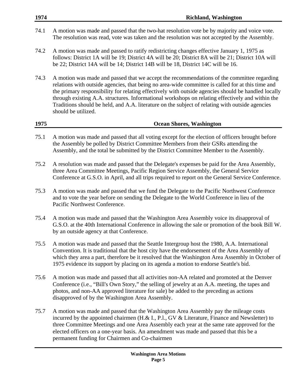- 74.1 A motion was made and passed that the two-hat resolution vote be by majority and voice vote. The resolution was read, vote was taken and the resolution was not accepted by the Assembly.
- 74.2 A motion was made and passed to ratify redistricting changes effective January 1, 1975 as follows: District 1A will be 19; District 4A will be 20; District 8A will be 21; District 10A will be 22; District 14A will be 14; District 14B will be 18, District 14C will be 16.
- 74.3 A motion was made and passed that we accept the recommendations of the committee regarding relations with outside agencies, that being no area-wide committee is called for at this time and the primary responsibility for relating effectively with outside agencies should be handled locally through existing A.A. structures. Informational workshops on relating effectively and within the Traditions should be held, and A.A. literature on the subject of relating with outside agencies should be utilized.

## **1975 Ocean Shores, Washington**

- 75.1 A motion was made and passed that all voting except for the election of officers brought before the Assembly be polled by District Committee Members from their GSRs attending the Assembly, and the total be submitted by the District Committee Member to the Assembly.
- 75.2 A resolution was made and passed that the Delegate's expenses be paid for the Area Assembly, three Area Committee Meetings, Pacific Region Service Assembly, the General Service Conference at G.S.O. in April, and all trips required to report on the General Service Conference.
- 75.3 A motion was made and passed that we fund the Delegate to the Pacific Northwest Conference and to vote the year before on sending the Delegate to the World Conference in lieu of the Pacific Northwest Conference.
- 75.4 A motion was made and passed that the Washington Area Assembly voice its disapproval of G.S.O. at the 40th International Conference in allowing the sale or promotion of the book Bill W. by an outside agency at that Conference.
- 75.5 A motion was made and passed that the Seattle Intergroup host the 1980, A.A. International Convention. It is traditional that the host city have the endorsement of the Area Assembly of which they area a part, therefore be it resolved that the Washington Area Assembly in October of 1975 evidence its support by placing on its agenda a motion to endorse Seattle's bid.
- 75.6 A motion was made and passed that all activities non-AA related and promoted at the Denver Conference (i.e., "Bill's Own Story," the selling of jewelry at an A.A. meeting, the tapes and photos, and non-AA approved literature for sale) be added to the preceding as actions disapproved of by the Washington Area Assembly.
- 75.7 A motion was made and passed that the Washington Area Assembly pay the mileage costs incurred by the appointed chairmen (H.& I., P.l., GV & Literature, Finance and Newsletter) to three Committee Meetings and one Area Assembly each year at the same rate approved for the elected officers on a one-year basis. An amendment was made and passed that this be a permanent funding for Chairmen and Co-chairmen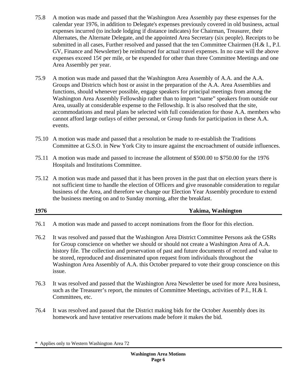- 75.8 A motion was made and passed that the Washington Area Assembly pay these expenses for the calendar year 1976, in addition to Delegate's expenses previously covered in old business, actual expenses incurred (to include lodging if distance indicates) for Chairman, Treasurer, their Alternates, the Alternate Delegate, and the appointed Area Secretary (six people). Receipts to be submitted in all cases, Further resolved and passed that the ten Committee Chairmen (H.& I., P.I. GV, Finance and Newsletter) be reimbursed for actual travel expenses. In no case will the above expenses exceed  $15¢$  per mile, or be expended for other than three Committee Meetings and one Area Assembly per year.
- 75.9 A motion was made and passed that the Washington Area Assembly of A.A. and the A.A. Groups and Districts which host or assist in the preparation of the A.A. Area Assemblies and functions, should whenever possible, engage speakers for principal meetings from among the Washington Area Assembly Fellowship rather than to import "name" speakers from outside our Area, usually at considerable expense to the Fellowship. It is also resolved that the site, accommodations and meal plans be selected with full consideration for those A.A. members who cannot afford large outlays of either personal, or Group funds for participation in these A.A. events.
- 75.10 A motion was made and passed that a resolution be made to re-establish the Traditions Committee at G.S.O. in New York City to insure against the encroachment of outside influences.
- 75.11 A motion was made and passed to increase the allotment of \$500.00 to \$750.00 for the 1976 Hospitals and Institutions Committee.
- 75.12 A motion was made and passed that it has been proven in the past that on election years there is not sufficient time to handle the election of Officers and give reasonable consideration to regular business of the Area, and therefore we change our Election Year Assembly procedure to extend the business meeting on and to Sunday morning, after the breakfast.

## **1976 Yakima, Washington**

- 76.1 A motion was made and passed to accept nominations from the floor for this election.
- 76.2 It was resolved and passed that the Washington Area District Committee Persons ask the GSRs for Group conscience on whether we should or should not create a Washington Area of A.A. history file. The collection and preservation of past and future documents of record and value to be stored, reproduced and disseminated upon request from individuals throughout the Washington Area Assembly of A.A. this October prepared to vote their group conscience on this issue.
- 76.3 It was resolved and passed that the Washington Area Newsletter be used for more Area business, such as the Treasurer's report, the minutes of Committee Meetings, activities of P.I., H.& I. Committees, etc.
- 76.4 It was resolved and passed that the District making bids for the October Assembly does its homework and have tentative reservations made before it makes the bid.

<sup>\*</sup> Applies only to Western Washington Area 72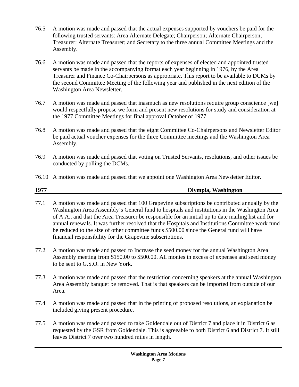- 76.5 A motion was made and passed that the actual expenses supported by vouchers be paid for the following trusted servants: Area Alternate Delegate; Chairperson; Alternate Chairperson; Treasurer; Alternate Treasurer; and Secretary to the three annual Committee Meetings and the Assembly.
- 76.6 A motion was made and passed that the reports of expenses of elected and appointed trusted servants be made in the accompanying format each year beginning in 1976, by the Area Treasurer and Finance Co-Chairpersons as appropriate. This report to be available to DCMs by the second Committee Meeting of the following year and published in the next edition of the Washington Area Newsletter.
- 76.7 A motion was made and passed that inasmuch as new resolutions require group conscience [we] would respectfully propose we form and present new resolutions for study and consideration at the 1977 Committee Meetings for final approval October of 1977.
- 76.8 A motion was made and passed that the eight Committee Co-Chairpersons and Newsletter Editor be paid actual voucher expenses for the three Committee meetings and the Washington Area Assembly.
- 76.9 A motion was made and passed that voting on Trusted Servants, resolutions, and other issues be conducted by polling the DCMs.
- 76.10 A motion was made and passed that we appoint one Washington Area Newsletter Editor.

## **1977 Olympia, Washington**

- 77.1 A motion was made and passed that 100 Grapevine subscriptions be contributed annually by the Washington Area Assembly's General fund to hospitals and institutions in the Washington Area of A.A., and that the Area Treasurer be responsible for an initial up to date mailing list and for annual renewals. It was further resolved that the Hospitals and Institutions Committee work fund be reduced to the size of other committee funds \$500.00 since the General fund will have financial responsibility for the Grapevine subscriptions.
- 77.2 A motion was made and passed to Increase the seed money for the annual Washington Area Assembly meeting from \$150.00 to \$500.00. All monies in excess of expenses and seed money to be sent to G.S.O. in New York.
- 77.3 A motion was made and passed that the restriction concerning speakers at the annual Washington Area Assembly banquet be removed. That is that speakers can be imported from outside of our Area.
- 77.4 A motion was made and passed that in the printing of proposed resolutions, an explanation be included giving present procedure.
- 77.5 A motion was made and passed to take Goldendale out of District 7 and place it in District 6 as requested by the GSR from Goldendale. This is agreeable to both District 6 and District 7. It still leaves District 7 over two hundred miles in length.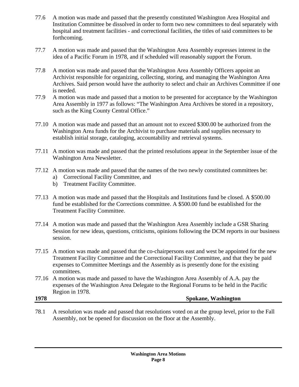- 77.6 A motion was made and passed that the presently constituted Washington Area Hospital and Institution Committee be dissolved in order to form two new committees to deal separately with hospital and treatment facilities - and correctional facilities, the titles of said committees to be forthcoming.
- 77.7 A motion was made and passed that the Washington Area Assembly expresses interest in the idea of a Pacific Forum in 1978, and if scheduled will reasonably support the Forum.
- 77.8 A motion was made and passed that the Washington Area Assembly Officers appoint an Archivist responsible for organizing, collecting, storing, and managing the Washington Area Archives. Said person would have the authority to select and chair an Archives Committee if one is needed.
- 77.9 A motion was made and passed that a motion to be presented for acceptance by the Washington Area Assembly in 1977 as follows: "The Washington Area Archives be stored in a repository, such as the King County Central Office."
- 77.10 A motion was made and passed that an amount not to exceed \$300.00 be authorized from the Washington Area funds for the Archivist to purchase materials and supplies necessary to establish initial storage, cataloging, accountability and retrieval systems.
- 77.11 A motion was made and passed that the printed resolutions appear in the September issue of the Washington Area Newsletter.
- 77.12 A motion was made and passed that the names of the two newly constituted committees be:
	- a) Correctional Facility Committee, and
	- b) Treatment Facility Committee.
- 77.13 A motion was made and passed that the Hospitals and Institutions fund be closed. A \$500.00 fund be established for the Corrections committee. A \$500.00 fund be established for the Treatment Facility Committee.
- 77.14 A motion was made and passed that the Washington Area Assembly include a GSR Sharing Session for new ideas, questions, criticisms, opinions following the DCM reports in our business session.
- 77.15 A motion was made and passed that the co-chairpersons east and west be appointed for the new Treatment Facility Committee and the Correctional Facility Committee, and that they be paid expenses to Committee Meetings and the Assembly as is presently done for the existing committees.
- 77.16 A motion was made and passed to have the Washington Area Assembly of A.A. pay the expenses of the Washington Area Delegate to the Regional Forums to be held in the Pacific Region in 1978.

## **1978 Spokane, Washington**

78.1 A resolution was made and passed that resolutions voted on at the group level, prior to the Fall Assembly, not be opened for discussion on the floor at the Assembly.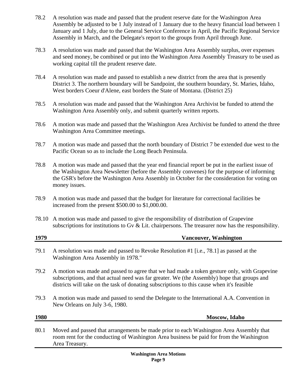- 78.2 A resolution was made and passed that the prudent reserve date for the Washington Area Assembly be adjusted to be 1 July instead of 1 January due to the heavy financial load between 1 January and 1 July, due to the General Service Conference in April, the Pacific Regional Service Assembly in March, and the Delegate's report to the groups from April through June.
- 78.3 A resolution was made and passed that the Washington Area Assembly surplus, over expenses and seed money, be combined or put into the Washington Area Assembly Treasury to be used as working capital till the prudent reserve date.
- 78.4 A resolution was made and passed to establish a new district from the area that is presently District 3. The northern boundary will be Sandpoint, the southern boundary, St. Maries, Idaho, West borders Coeur d'Alene, east borders the State of Montana. (District 25)
- 78.5 A resolution was made and passed that the Washington Area Archivist be funded to attend the Washington Area Assembly only, and submit quarterly written reports.
- 78.6 A motion was made and passed that the Washington Area Archivist be funded to attend the three Washington Area Committee meetings.
- 78.7 A motion was made and passed that the north boundary of District 7 be extended due west to the Pacific Ocean so as to include the Long Beach Peninsula.
- 78.8 A motion was made and passed that the year end financial report be put in the earliest issue of the Washington Area Newsletter (before the Assembly convenes) for the purpose of informing the GSR's before the Washington Area Assembly in October for the consideration for voting on money issues.
- 78.9 A motion was made and passed that the budget for literature for correctional facilities be increased from the present \$500.00 to \$1,000.00.
- 78.10 A motion was made and passed to give the responsibility of distribution of Grapevine subscriptions for institutions to Gv & Lit. chairpersons. The treasurer now has the responsibility.

| 1979 | <b>Vancouver, Washington</b>                                                                                                                                                                                                                                                             |
|------|------------------------------------------------------------------------------------------------------------------------------------------------------------------------------------------------------------------------------------------------------------------------------------------|
| 79.1 | A resolution was made and passed to Revoke Resolution #1 [i.e., 78.1] as passed at the<br>Washington Area Assembly in 1978."                                                                                                                                                             |
| 79.2 | A motion was made and passed to agree that we had made a token gesture only, with Grapevine<br>subscriptions, and that actual need was far greater. We (the Assembly) hope that groups and<br>districts will take on the task of donating subscriptions to this cause when it's feasible |
| 79.3 | A motion was made and passed to send the Delegate to the International A.A. Convention in<br>New Orleans on July 3-6, 1980.                                                                                                                                                              |
| 1980 | Moscow, Idaho                                                                                                                                                                                                                                                                            |
| 80.1 | Moved and passed that arrangements be made prior to each Washington Area Assembly that<br>room rent for the conducting of Washington Area business be paid for from the Washington                                                                                                       |

Area Treasury.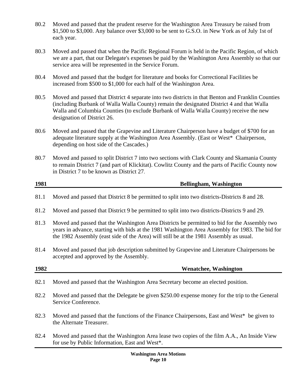- 80.2 Moved and passed that the prudent reserve for the Washington Area Treasury be raised from \$1,500 to \$3,000. Any balance over \$3,000 to be sent to G.S.O. in New York as of July 1st of each year.
- 80.3 Moved and passed that when the Pacific Regional Forum is held in the Pacific Region, of which we are a part, that our Delegate's expenses be paid by the Washington Area Assembly so that our service area will be represented in the Service Forum.
- 80.4 Moved and passed that the budget for literature and books for Correctional Facilities be increased from \$500 to \$1,000 for each half of the Washington Area.
- 80.5 Moved and passed that District 4 separate into two districts in that Benton and Franklin Counties (including Burbank of Walla Walla County) remain the designated District 4 and that Walla Walla and Columbia Counties (to exclude Burbank of Walla Walla County) receive the new designation of District 26.
- 80.6 Moved and passed that the Grapevine and Literature Chairperson have a budget of \$700 for an adequate literature supply at the Washington Area Assembly. (East or West\* Chairperson, depending on host side of the Cascades.)
- 80.7 Moved and passed to split District 7 into two sections with Clark County and Skamania County to remain District 7 (and part of Klickitat). Cowlitz County and the parts of Pacific County now in District 7 to be known as District 27.

| 1981 | <b>Bellingham, Washington</b> |
|------|-------------------------------|
|      |                               |
|      |                               |

- 81.1 Moved and passed that District 8 be permitted to split into two districts-Districts 8 and 28.
- 81.2 Moved and passed that District 9 be permitted to split into two districts-Districts 9 and 29.
- 81.3 Moved and passed that the Washington Area Districts be permitted to bid for the Assembly two years in advance, starting with bids at the 1981 Washington Area Assembly for 1983. The bid for the 1982 Assembly (east side of the Area) will still be at the 1981 Assembly as usual.
- 81.4 Moved and passed that job description submitted by Grapevine and Literature Chairpersons be accepted and approved by the Assembly.
- **1982 Wenatchee, Washington**
- 82.1 Moved and passed that the Washington Area Secretary become an elected position.
- 82.2 Moved and passed that the Delegate be given \$250.00 expense money for the trip to the General Service Conference.
- 82.3 Moved and passed that the functions of the Finance Chairpersons, East and West\* be given to the Alternate Treasurer.
- 82.4 Moved and passed that the Washington Area lease two copies of the film A.A., An Inside View for use by Public Information, East and West\*.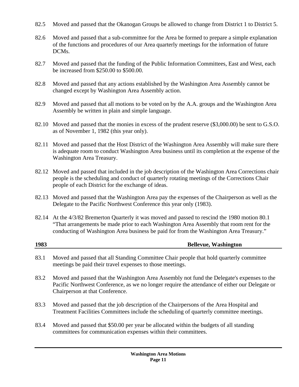- 82.5 Moved and passed that the Okanogan Groups be allowed to change from District 1 to District 5.
- 82.6 Moved and passed that a sub-committee for the Area be formed to prepare a simple explanation of the functions and procedures of our Area quarterly meetings for the information of future DCMs.
- 82.7 Moved and passed that the funding of the Public Information Committees, East and West, each be increased from \$250.00 to \$500.00.
- 82.8 Moved and passed that any actions established by the Washington Area Assembly cannot be changed except by Washington Area Assembly action.
- 82.9 Moved and passed that all motions to be voted on by the A.A. groups and the Washington Area Assembly be written in plain and simple language.
- 82.10 Moved and passed that the monies in excess of the prudent reserve (\$3,000.00) be sent to G.S.O. as of November 1, 1982 (this year only).
- 82.11 Moved and passed that the Host District of the Washington Area Assembly will make sure there is adequate room to conduct Washington Area business until its completion at the expense of the Washington Area Treasury.
- 82.12 Moved and passed that included in the job description of the Washington Area Corrections chair people is the scheduling and conduct of quarterly rotating meetings of the Corrections Chair people of each District for the exchange of ideas.
- 82.13 Moved and passed that the Washington Area pay the expenses of the Chairperson as well as the Delegate to the Pacific Northwest Conference this year only (1983).
- 82.14 At the 4/3/82 Bremerton Quarterly it was moved and passed to rescind the 1980 motion 80.1 "That arrangements be made prior to each Washington Area Assembly that room rent for the conducting of Washington Area business be paid for from the Washington Area Treasury."

| 1983 | <b>Bellevue, Washington</b> |
|------|-----------------------------|
|      |                             |

- 83.1 Moved and passed that all Standing Committee Chair people that hold quarterly committee meetings be paid their travel expenses to those meetings.
- 83.2 Moved and passed that the Washington Area Assembly not fund the Delegate's expenses to the Pacific Northwest Conference, as we no longer require the attendance of either our Delegate or Chairperson at that Conference.
- 83.3 Moved and passed that the job description of the Chairpersons of the Area Hospital and Treatment Facilities Committees include the scheduling of quarterly committee meetings.
- 83.4 Moved and passed that \$50.00 per year be allocated within the budgets of all standing committees for communication expenses within their committees.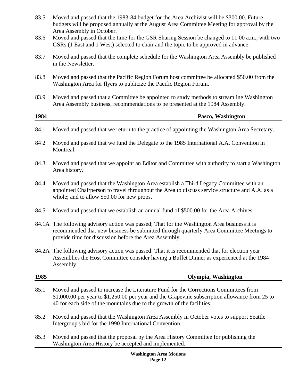| 83.5 | Moved and passed that the 1983-84 budget for the Area Archivist will be \$300.00. Future<br>budgets will be proposed annually at the August Area Committee Meeting for approval by the<br>Area Assembly in October.                                              |
|------|------------------------------------------------------------------------------------------------------------------------------------------------------------------------------------------------------------------------------------------------------------------|
| 83.6 | Moved and passed that the time for the GSR Sharing Session be changed to 11:00 a.m., with two<br>GSRs (1 East and 1 West) selected to chair and the topic to be approved in advance.                                                                             |
| 83.7 | Moved and passed that the complete schedule for the Washington Area Assembly be published<br>in the Newsletter.                                                                                                                                                  |
| 83.8 | Moved and passed that the Pacific Region Forum host committee be allocated \$50.00 from the<br>Washington Area for flyers to publicize the Pacific Region Forum.                                                                                                 |
| 83.9 | Moved and passed that a Committee be appointed to study methods to streamline Washington<br>Area Assembly business, recommendations to be presented at the 1984 Assembly.                                                                                        |
| 1984 | Pasco, Washington                                                                                                                                                                                                                                                |
| 84.1 | Moved and passed that we return to the practice of appointing the Washington Area Secretary.                                                                                                                                                                     |
| 842  | Moved and passed that we fund the Delegate to the 1985 International A.A. Convention in<br>Montreal.                                                                                                                                                             |
| 84.3 | Moved and passed that we appoint an Editor and Committee with authority to start a Washington<br>Area history.                                                                                                                                                   |
| 84.4 | Moved and passed that the Washington Area establish a Third Legacy Committee with an<br>appointed Chairperson to travel throughout the Area to discuss service structure and A.A. as a<br>whole; and to allow \$50.00 for new props.                             |
| 84.5 | Moved and passed that we establish an annual fund of \$500.00 for the Area Archives.                                                                                                                                                                             |
|      | 84.1A The following advisory action was passed; That for the Washington Area business it is<br>recommended that new business be submitted through quarterly Area Committee Meetings to<br>provide time for discussion before the Area Assembly.                  |
|      | 84.2A The following advisory action was passed: That it is recommended that for election year<br>Assemblies the Host Committee consider having a Buffet Dinner as experienced at the 1984<br>Assembly.                                                           |
| 1985 | Olympia, Washington                                                                                                                                                                                                                                              |
| 85.1 | Moved and passed to increase the Literature Fund for the Corrections Committees from<br>\$1,000.00 per year to \$1,250.00 per year and the Grapevine subscription allowance from 25 to<br>40 for each side of the mountains due to the growth of the facilities. |
| 85.2 | Moved and passed that the Washington Area Assembly in October votes to support Seattle<br>Intergroup's bid for the 1990 International Convention.                                                                                                                |
|      |                                                                                                                                                                                                                                                                  |

85.3 Moved and passed that the proposal by the Area History Committee for publishing the Washington Area History be accepted and implemented.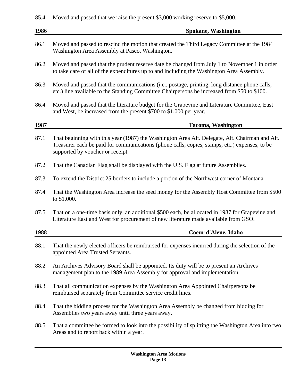## 85.4 Moved and passed that we raise the present \$3,000 working reserve to \$5,000.

| 1986 | <b>Spokane, Washington</b>                                                                                                                                                                                                          |
|------|-------------------------------------------------------------------------------------------------------------------------------------------------------------------------------------------------------------------------------------|
| 86.1 | Moved and passed to rescind the motion that created the Third Legacy Committee at the 1984<br>Washington Area Assembly at Pasco, Washington.                                                                                        |
| 86.2 | Moved and passed that the prudent reserve date be changed from July 1 to November 1 in order<br>to take care of all of the expenditures up to and including the Washington Area Assembly.                                           |
| 86.3 | Moved and passed that the communications (i.e., postage, printing, long distance phone calls,<br>etc.) line available to the Standing Committee Chairpersons be increased from \$50 to \$100.                                       |
| 86.4 | Moved and passed that the literature budget for the Grapevine and Literature Committee, East<br>and West, be increased from the present \$700 to \$1,000 per year.                                                                  |
| 1987 | <b>Tacoma, Washington</b>                                                                                                                                                                                                           |
| 87.1 | That beginning with this year (1987) the Washington Area Alt. Delegate, Alt. Chairman and Alt.<br>Treasurer each be paid for communications (phone calls, copies, stamps, etc.) expenses, to be<br>supported by voucher or receipt. |
| 87.2 | That the Canadian Flag shall be displayed with the U.S. Flag at future Assemblies.                                                                                                                                                  |
| 87.3 | To extend the District 25 borders to include a portion of the Northwest corner of Montana.                                                                                                                                          |
| 87.4 | That the Washington Area increase the seed money for the Assembly Host Committee from \$500<br>to \$1,000.                                                                                                                          |
| 87.5 | That on a one-time basis only, an additional \$500 each, be allocated in 1987 for Grapevine and<br>Literature East and West for procurement of new literature made available from GSO.                                              |
| 1988 | Coeur d'Alene, Idaho                                                                                                                                                                                                                |
| 88.1 | That the newly elected officers be reimbursed for expenses incurred during the selection of the<br>appointed Area Trusted Servants.                                                                                                 |
| 88.2 | An Archives Advisory Board shall be appointed. Its duty will be to present an Archives<br>management plan to the 1989 Area Assembly for approval and implementation.                                                                |
| 88.3 | That all communication expenses by the Washington Area Appointed Chairpersons be<br>reimbursed separately from Committee service credit lines.                                                                                      |
| 88.4 | That the bidding process for the Washington Area Assembly be changed from bidding for<br>Assemblies two years away until three years away.                                                                                          |
| 88.5 | That a committee be formed to look into the possibility of splitting the Washington Area into two<br>Areas and to report back within a year.                                                                                        |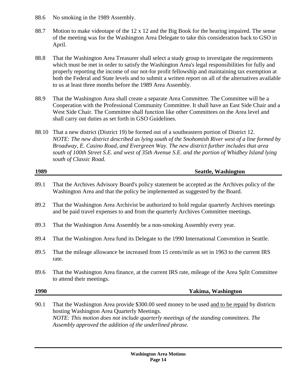- 88.6 No smoking in the 1989 Assembly.
- 88.7 Motion to make videotape of the 12 x 12 and the Big Book for the hearing impaired. The sense of the meeting was for the Washington Area Delegate to take this consideration back to GSO in April.
- 88.8 That the Washington Area Treasurer shall select a study group to investigate the requirements which must be met in order to satisfy the Washington Area's legal responsibilities for fully and properly reporting the income of our not-for profit fellowship and maintaining tax exemption at both the Federal and State levels and to submit a written report on all of the alternatives available to us at least three months before the 1989 Area Assembly.
- 88.9 That the Washington Area shall create a separate Area Committee. The Committee will be a Cooperation with the Professional Community Committee. It shall have an East Side Chair and a West Side Chair. The Committee shall function like other Committees on the Area level and shall carry out duties as set forth in GSO Guidelines.
- 88.10 That a new district (District 19) be formed out of a southeastern portion of District 12. *NOTE: The new district described as lying south of the Snohomish River west of a line formed by Broadway, E. Casino Road, and Evergreen Way. The new district further includes that area south of 100th Street S.E. and west of 35th Avenue S.E. and the portion of Whidbey Island lying south of Classic Road.*

| 1989 | <b>Seattle, Washington</b>                                                                                                                                                                                                                                                                        |
|------|---------------------------------------------------------------------------------------------------------------------------------------------------------------------------------------------------------------------------------------------------------------------------------------------------|
| 89.1 | That the Archives Advisory Board's policy statement be accepted as the Archives policy of the<br>Washington Area and that the policy be implemented as suggested by the Board.                                                                                                                    |
| 89.2 | That the Washington Area Archivist be authorized to hold regular quarterly Archives meetings<br>and be paid travel expenses to and from the quarterly Archives Committee meetings.                                                                                                                |
| 89.3 | That the Washington Area Assembly be a non-smoking Assembly every year.                                                                                                                                                                                                                           |
| 89.4 | That the Washington Area fund its Delegate to the 1990 International Convention in Seattle.                                                                                                                                                                                                       |
| 89.5 | That the mileage allowance be increased from 15 cents/mile as set in 1963 to the current IRS<br>rate.                                                                                                                                                                                             |
| 89.6 | That the Washington Area finance, at the current IRS rate, mileage of the Area Split Committee<br>to attend their meetings.                                                                                                                                                                       |
| 1990 | Yakima, Washington                                                                                                                                                                                                                                                                                |
| 90.1 | That the Washington Area provide \$300.00 seed money to be used and to be repaid by districts<br>hosting Washington Area Quarterly Meetings.<br>NOTE: This motion does not include quarterly meetings of the standing committees. The<br>Assembly approved the addition of the underlined phrase. |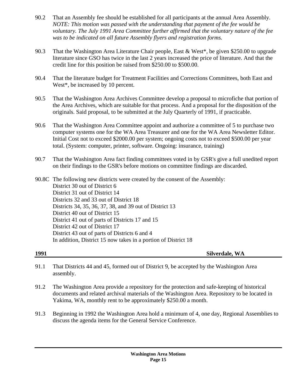- 90.2 That an Assembly fee should be established for all participants at the annual Area Assembly. *NOTE: This motion was passed with the understanding that payment of the fee would be voluntary. The July 1991 Area Committee further affirmed that the voluntary nature of the fee was to be indicated on all future Assembly flyers and registration forms.*
- 90.3 That the Washington Area Literature Chair people, East & West\*, be given \$250.00 to upgrade literature since GSO has twice in the last 2 years increased the price of literature. And that the credit line for this position be raised from \$250.00 to \$500.00.
- 90.4 That the literature budget for Treatment Facilities and Corrections Committees, both East and West\*, be increased by 10 percent.
- 90.5 That the Washington Area Archives Committee develop a proposal to microfiche that portion of the Area Archives, which are suitable for that process. And a proposal for the disposition of the originals. Said proposal, to be submitted at the July Quarterly of 1991, if practicable.
- 90.6 That the Washington Area Committee appoint and authorize a committee of 5 to purchase two computer systems one for the WA Area Treasurer and one for the WA Area Newsletter Editor. Initial Cost not to exceed \$2000.00 per system; ongoing costs not to exceed \$500.00 per year total. (System: computer, printer, software. Ongoing: insurance, training)
- 90.7 That the Washington Area fact finding committees voted in by GSR's give a full unedited report on their findings to the GSR's before motions on committee findings are discarded.

90.8C The following new districts were created by the consent of the Assembly: District 30 out of District 6 District 31 out of District 14 Districts 32 and 33 out of District 18 Districts 34, 35, 36, 37, 38, and 39 out of District 13 District 40 out of District 15 District 41 out of parts of Districts 17 and 15 District 42 out of District 17 District 43 out of parts of Districts 6 and 4 In addition, District 15 now takes in a portion of District 18

**1991 Silverdale, WA** 

- 91.1 That Districts 44 and 45, formed out of District 9, be accepted by the Washington Area assembly.
- 91.2 The Washington Area provide a repository for the protection and safe-keeping of historical documents and related archival materials of the Washington Area. Repository to be located in Yakima, WA, monthly rent to be approximately \$250.00 a month.
- 91.3 Beginning in 1992 the Washington Area hold a minimum of 4, one day, Regional Assemblies to discuss the agenda items for the General Service Conference.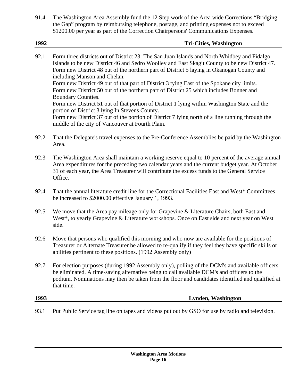91.4 The Washington Area Assembly fund the 12 Step work of the Area wide Corrections "Bridging the Gap" program by reimbursing telephone, postage, and printing expenses not to exceed \$1200.00 per year as part of the Correction Chairpersons' Communications Expenses.

| 1992 | <b>Tri-Cities, Washington</b>                                                                                                                                                                                                                                                                                                                                                                                                                                                                                                                                                                                                                                                                                                                                                                |
|------|----------------------------------------------------------------------------------------------------------------------------------------------------------------------------------------------------------------------------------------------------------------------------------------------------------------------------------------------------------------------------------------------------------------------------------------------------------------------------------------------------------------------------------------------------------------------------------------------------------------------------------------------------------------------------------------------------------------------------------------------------------------------------------------------|
| 92.1 | Form three districts out of District 23: The San Juan Islands and North Whidbey and Fidalgo<br>Islands to be new District 46 and Sedro Woolley and East Skagit County to be new District 47.<br>Form new District 48 out of the northern part of District 5 laying in Okanogan County and<br>including Manson and Chelan.<br>Form new District 49 out of that part of District 3 tying East of the Spokane city limits.<br>Form new District 50 out of the northern part of District 25 which includes Bonner and<br>Boundary Counties.<br>Form new District 51 out of that portion of District 1 lying within Washington State and the<br>portion of District 3 lying In Stevens County.<br>Form new District 37 out of the portion of District 7 lying north of a line running through the |
| 92.2 | middle of the city of Vancouver at Fourth Plain.<br>That the Delegate's travel expenses to the Pre-Conference Assemblies be paid by the Washington<br>Area.                                                                                                                                                                                                                                                                                                                                                                                                                                                                                                                                                                                                                                  |
|      |                                                                                                                                                                                                                                                                                                                                                                                                                                                                                                                                                                                                                                                                                                                                                                                              |

- 92.3 The Washington Area shall maintain a working reserve equal to 10 percent of the average annual Area expenditures for the preceding two calendar years and the current budget year. At October 31 of each year, the Area Treasurer will contribute the excess funds to the General Service Office.
- 92.4 That the annual literature credit line for the Correctional Facilities East and West\* Committees be increased to \$2000.00 effective January 1, 1993.
- 92.5 We move that the Area pay mileage only for Grapevine & Literature Chairs, both East and West<sup>\*</sup>, to yearly Grapevine & Literature workshops. Once on East side and next year on West side.
- 92.6 Move that persons who qualified this morning and who now are available for the positions of Treasurer or Alternate Treasurer be allowed to re-qualify if they feel they have specific skills or abilities pertinent to these positions. (1992 Assembly only)
- 92.7 For election purposes (during 1992 Assembly only), polling of the DCM's and available officers be eliminated. A time-saving alternative being to call available DCM's and officers to the podium. Nominations may then be taken from the floor and candidates identified and qualified at that time.

**1993 Lynden, Washington** 

93.1 Put Public Service tag line on tapes and videos put out by GSO for use by radio and television.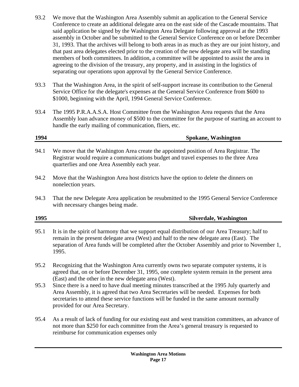- 93.2 We move that the Washington Area Assembly submit an application to the General Service Conference to create an additional delegate area on the east side of the Cascade mountains. That said application be signed by the Washington Area Delegate following approval at the 1993 assembly in October and be submitted to the General Service Conference on or before December 31, 1993. That the archives will belong to both areas in as much as they are our joint history, and that past area delegates elected prior to the creation of the new delegate area will be standing members of both committees. In addition, a committee will be appointed to assist the area in agreeing to the division of the treasury, any property, and in assisting in the logistics of separating our operations upon approval by the General Service Conference.
- 93.3 That the Washington Area, in the spirit of self-support increase its contribution to the General Service Office for the delegate's expenses at the General Service Conference from \$600 to \$1000, beginning with the April, 1994 General Service Conference.
- 93.4 The 1995 P.R.A.A.S.A. Host Committee from the Washington Area requests that the Area Assembly loan advance money of \$500 to the committee for the purpose of starting an account to handle the early mailing of communication, fliers, etc.

## **1994 Spokane, Washington**

- 94.1 We move that the Washington Area create the appointed position of Area Registrar. The Registrar would require a communications budget and travel expenses to the three Area quarterlies and one Area Assembly each year.
- 94.2 Move that the Washington Area host districts have the option to delete the dinners on nonelection years.
- 94.3 That the new Delegate Area application be resubmitted to the 1995 General Service Conference with necessary changes being made.

## **1995 Silverdale, Washington**

- 95.1 It is in the spirit of harmony that we support equal distribution of our Area Treasury; half to remain in the present delegate area (West) and half to the new delegate area (East). The separation of Area funds will be completed after the October Assembly and prior to November 1, 1995.
- 95.2 Recognizing that the Washington Area currently owns two separate computer systems, it is agreed that, on or before December 31, 1995, one complete system remain in the present area (East) and the other in the new delegate area (West).
- 95.3 Since there is a need to have dual meeting minutes transcribed at the 1995 July quarterly and Area Assembly, it is agreed that two Area Secretaries will be needed. Expenses for both secretaries to attend these service functions will be funded in the same amount normally provided for our Area Secretary.
- 95.4 As a result of lack of funding for our existing east and west transition committees, an advance of not more than \$250 for each committee from the Area's general treasury is requested to reimburse for communication expenses only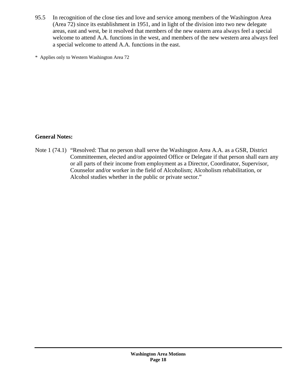95.5 In recognition of the close ties and love and service among members of the Washington Area (Area 72) since its establishment in 1951, and in light of the division into two new delegate areas, east and west, be it resolved that members of the new eastern area always feel a special welcome to attend A.A. functions in the west, and members of the new western area always feel a special welcome to attend A.A. functions in the east.

\* Applies only to Western Washington Area 72

### **General Notes:**

Note 1 (74.1) "Resolved: That no person shall serve the Washington Area A.A. as a GSR, District Committeemen, elected and/or appointed Office or Delegate if that person shall earn any or all parts of their income from employment as a Director, Coordinator, Supervisor, Counselor and/or worker in the field of Alcoholism; Alcoholism rehabilitation, or Alcohol studies whether in the public or private sector."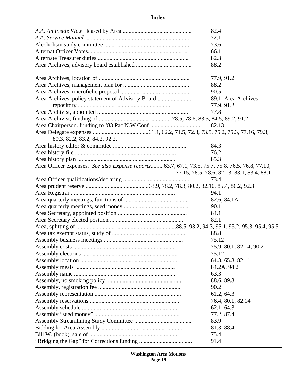## **Index**

|                                                                                                 | 82.4                                       |
|-------------------------------------------------------------------------------------------------|--------------------------------------------|
|                                                                                                 | 72.1                                       |
|                                                                                                 | 73.6                                       |
|                                                                                                 | 66.1                                       |
|                                                                                                 | 82.3                                       |
|                                                                                                 | 88.2                                       |
|                                                                                                 |                                            |
|                                                                                                 | 77.9, 91.2                                 |
|                                                                                                 | 88.2                                       |
|                                                                                                 | 90.5                                       |
| Area Archives, policy statement of Advisory Board                                               | 89.1, Area Archives,                       |
|                                                                                                 | 77.9, 91.2                                 |
|                                                                                                 | 77.8                                       |
|                                                                                                 |                                            |
|                                                                                                 | 82.13                                      |
|                                                                                                 |                                            |
| 80.3, 82.2, 83.2, 84.2, 92.2,                                                                   |                                            |
|                                                                                                 | 84.3                                       |
|                                                                                                 | 76.2                                       |
|                                                                                                 | 85.3                                       |
| Area Officer expenses. See also Expense reports63.7, 67.1, 73.5, 75.7, 75.8, 76.5, 76.8, 77.10, |                                            |
|                                                                                                 | 77.15, 78.5, 78.6, 82.13, 83.1, 83.4, 88.1 |
|                                                                                                 | 73.4                                       |
|                                                                                                 |                                            |
|                                                                                                 | 94.1                                       |
|                                                                                                 | 82.6, 84.1A                                |
|                                                                                                 | 90.1                                       |
|                                                                                                 | 84.1                                       |
|                                                                                                 | 82.1                                       |
|                                                                                                 |                                            |
|                                                                                                 | 88.8                                       |
|                                                                                                 | 75.12                                      |
|                                                                                                 | 75.9, 80.1, 82.14, 90.2                    |
|                                                                                                 | 75.12                                      |
|                                                                                                 | 64.3, 65.3, 82.11                          |
|                                                                                                 | 84.2A, 94.2                                |
|                                                                                                 | 63.3                                       |
|                                                                                                 | 88.6, 89.3                                 |
|                                                                                                 | 90.2                                       |
|                                                                                                 | 61.2, 64.3                                 |
|                                                                                                 |                                            |
|                                                                                                 | 76.4, 80.1, 82.14<br>62.1, 64.3            |
|                                                                                                 |                                            |
|                                                                                                 | 77.2, 87.4<br>83.9                         |
|                                                                                                 |                                            |
|                                                                                                 | 81.3, 88.4                                 |
|                                                                                                 | 75.4                                       |
|                                                                                                 | 91.4                                       |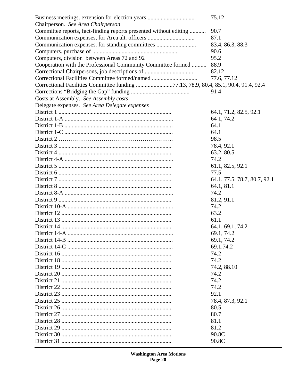|                                                                                     | 75.12                        |
|-------------------------------------------------------------------------------------|------------------------------|
| Chairperson. See Area Chairperson                                                   |                              |
| Committee reports, fact-finding reports presented without editing                   | 90.7                         |
| Communication expenses, for Area alt. officers                                      | 87.1                         |
| Communication expenses. for standing committees                                     | 83.4, 86.3, 88.3             |
|                                                                                     | 90.6                         |
| Computers, division between Areas 72 and 92                                         | 95.2                         |
| Cooperation with the Professional Community Committee formed                        | 88.9                         |
|                                                                                     | 82.12                        |
| Correctional Facilities Committee formed/named                                      | 77.6, 77.12                  |
| Correctional Facilities Committee funding 77.13, 78.9, 80.4, 85.1, 90.4, 91.4, 92.4 |                              |
|                                                                                     | 914                          |
| Costs at Assembly. See Assembly costs                                               |                              |
| Delegate expenses. See Area Delegate expenses                                       |                              |
|                                                                                     | 64.1, 71.2, 82.5, 92.1       |
|                                                                                     | 64 1, 74.2                   |
|                                                                                     | 64.1                         |
|                                                                                     | 64.1                         |
|                                                                                     | 98.5                         |
|                                                                                     | 78.4, 92.1                   |
|                                                                                     | 63.2, 80.5                   |
|                                                                                     | 74.2                         |
|                                                                                     | 61.1, 82.5, 92.1             |
|                                                                                     | 77.5                         |
|                                                                                     | 64.1, 77.5, 78.7, 80.7, 92.1 |
|                                                                                     | 64.1, 81.1                   |
|                                                                                     | 74.2                         |
|                                                                                     | 81.2, 91.1                   |
|                                                                                     | 74.2                         |
|                                                                                     |                              |
|                                                                                     | 63.2                         |
|                                                                                     | 61.1                         |
|                                                                                     | 64.1, 69.1, 74.2             |
|                                                                                     | 69.1, 74.2                   |
|                                                                                     | 69.1, 74.2                   |
|                                                                                     | 69.1.74.2                    |
|                                                                                     | 74.2                         |
|                                                                                     | 74.2                         |
|                                                                                     | 74.2, 88.10                  |
|                                                                                     | 74.2                         |
|                                                                                     | 74.2                         |
|                                                                                     | 74.2                         |
|                                                                                     | 92.1                         |
|                                                                                     | 78.4, 87.3, 92.1             |
|                                                                                     | 80.5                         |
|                                                                                     | 80.7                         |
|                                                                                     | 81.1                         |
|                                                                                     | 81.2                         |
|                                                                                     | 90.8C                        |
|                                                                                     | 90.8C                        |
|                                                                                     |                              |

**Washington Area Motions<br>Page 20**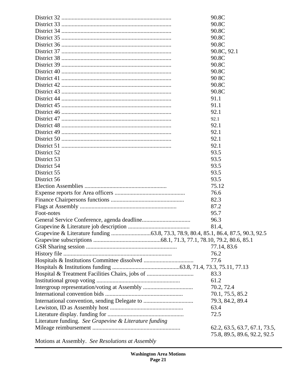|                                                        | 90.8C                         |
|--------------------------------------------------------|-------------------------------|
|                                                        | 90.8C                         |
|                                                        | 90.8C                         |
|                                                        | 90.8C                         |
|                                                        | 90.8C                         |
|                                                        | 90.8C, 92.1                   |
|                                                        | 90.8C                         |
|                                                        | 90.8C                         |
|                                                        | 90.8C                         |
|                                                        | 90 8C                         |
|                                                        | 90.8C                         |
|                                                        | 90.8C                         |
|                                                        | 91.1                          |
|                                                        | 91.1                          |
|                                                        | 92.1                          |
|                                                        | 92.1                          |
|                                                        | 92.1                          |
|                                                        | 92.1                          |
|                                                        | 92.1                          |
|                                                        | 92.1                          |
| District 52                                            | 93.5                          |
| District 53                                            | 93.5                          |
| District 54                                            | 93.5                          |
| District 55                                            | 93.5                          |
| District 56                                            | 93.5                          |
|                                                        | 75.12                         |
|                                                        | 76.6                          |
|                                                        | 82.3                          |
|                                                        | 87.2                          |
| Foot-notes                                             | 95.7                          |
|                                                        | 96.3                          |
|                                                        | 81.4,                         |
|                                                        |                               |
|                                                        |                               |
|                                                        | 77.14, 83.6                   |
|                                                        | 76.2                          |
|                                                        | 77.6                          |
|                                                        |                               |
| Hospital & Treatment Facilities Chairs, jobs of        | 83.3                          |
|                                                        | 61.2                          |
|                                                        | 70.2, 72.4                    |
|                                                        | 70.1, 75.5, 85.2              |
|                                                        | 79.3, 84.2, 89.4              |
|                                                        | 63.4                          |
|                                                        | 72.5                          |
| Literature funding. See Grapevine & Literature funding |                               |
|                                                        | 62.2, 63.5, 63.7, 67.1, 73.5, |
|                                                        | 75.8, 89.5, 89.6, 92.2, 92.5  |
| Motions at Assembly. See Resolutions at Assembly       |                               |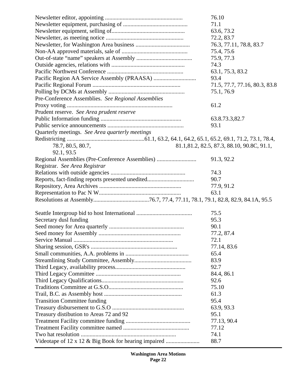|                                                      | 76.10                                      |
|------------------------------------------------------|--------------------------------------------|
|                                                      | 71.1                                       |
|                                                      | 63.6, 73.2                                 |
|                                                      | 72.2, 83.7                                 |
|                                                      | 76.3, 77.11, 78.8, 83.7                    |
|                                                      | 75.4, 75.6                                 |
|                                                      | 75.9, 77.3                                 |
|                                                      | 74.3                                       |
|                                                      | 63.1, 75.3, 83.2                           |
|                                                      | 93.4                                       |
|                                                      | 71.5, 77.7, 77.16, 80.3, 83.8              |
|                                                      | 75.1, 76.9                                 |
| Pre-Conference Assemblies. See Regional Assemblies   |                                            |
|                                                      | 61.2                                       |
| Prudent reserve. See Area prudent reserve            |                                            |
|                                                      | 63.8.73.3,82.7                             |
|                                                      | 93.1                                       |
| Quarterly meetings. See Area quarterly meetings      |                                            |
|                                                      |                                            |
| 78.7, 80.5, 80.7,                                    | 81.1,81.2, 82.5, 87.3, 88.10, 90.8C, 91.1, |
| 92.1, 93.5                                           |                                            |
|                                                      |                                            |
| Regional Assemblies (Pre-Conference Assemblies)      | 91.3, 92.2                                 |
| Registrar. See Area Registrar                        |                                            |
|                                                      | 74.3                                       |
| Reports, fact-finding reports presented unedited     | 90.7                                       |
|                                                      | 77.9, 91.2                                 |
|                                                      | 63.1                                       |
|                                                      |                                            |
|                                                      | 75.5                                       |
| Secretary dusl funding                               | 95.3                                       |
|                                                      | 90.1                                       |
|                                                      | 77.2, 87.4                                 |
|                                                      | 72.1                                       |
|                                                      |                                            |
|                                                      | 77.14, 83.6                                |
|                                                      | 65.4                                       |
|                                                      | 83.9                                       |
|                                                      | 92.7                                       |
|                                                      | 84.4, 86.1                                 |
|                                                      | 92.6                                       |
|                                                      | 75.10                                      |
|                                                      | 61.3                                       |
| <b>Transition Committee funding</b>                  | 95.4                                       |
|                                                      | 63.9, 93.3                                 |
| Treasury distibution to Areas 72 and 92              | 95.1                                       |
|                                                      | 77.13, 90.4                                |
|                                                      | 77.12                                      |
|                                                      | 74.1                                       |
| Videotape of 12 x 12 & Big Book for hearing impaired | 88.7                                       |

**Washington Area Motions Page 22**